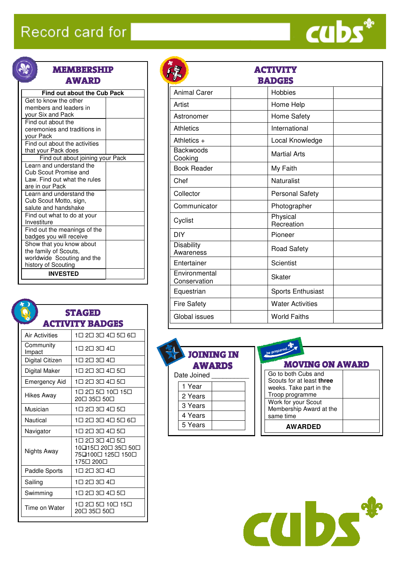# Record card for



### MEMBERSHIP AWARD

| <b>Find out about the Cub Pack</b> |  |
|------------------------------------|--|
| Get to know the other              |  |
| members and leaders in             |  |
| your Six and Pack                  |  |
| Find out about the                 |  |
| ceremonies and traditions in       |  |
| your Pack                          |  |
| Find out about the activities      |  |
| that your Pack does                |  |
| Find out about joining your Pack   |  |
| Learn and understand the           |  |
| Cub Scout Promise and              |  |
| Law. Find out what the rules       |  |
| are in our Pack                    |  |
| Learn and understand the           |  |
| Cub Scout Motto, sign,             |  |
| salute and handshake               |  |
| Find out what to do at your        |  |
| Investiture                        |  |
| Find out the meanings of the       |  |
| badges you will receive            |  |
| Show that you know about           |  |
| the family of Scouts,              |  |
| worldwide Scouting and the         |  |
| history of Scouting                |  |
| <b>INVESTED</b>                    |  |



### STAGED ACTIVITY BADGES

| Air Activities       | 1□ 2□ 3□ 4□ 5□ 6□                                                      |
|----------------------|------------------------------------------------------------------------|
| Community<br>Impact  | 1□ 2□ 3□ 4□                                                            |
| Digital Citizen      | 1□ 2□ 3□ 4□                                                            |
| Digital Maker        | 1□ 2□ 3□ 4□ 5□                                                         |
| Emergency Aid        | 1□ 2□ 3□ 4□ 5□                                                         |
| Hikes Away           | 1□ 2□ 5□ 10□ 15□<br>20□ 35□ 50□                                        |
| Musician             | 1□ 2□ 3□ 4□ 5□                                                         |
| Nautical             | 1□ 2□ 3□ 4□ 5□ 6□                                                      |
| Navigator            | 1□ 2□ 3□ 4□ 5□                                                         |
| Nights Away          | 1□ 2□ 3□ 4□ 5□<br>10❑15□ 20□ 35□ 50□<br>75❑100□ 125□ 150□<br>175□ 200□ |
| <b>Paddle Sports</b> | 1∏ 2∏ 3∏ 4∏                                                            |
| Sailing              | 1□ 2□ 3□ 4□                                                            |
| Swimming             | 1□ 2□ 3□ 4□ 5□                                                         |
| Time on Water        | 1□ 2□ 5□ 10□ 15□<br>20E<br>⊐ 35⊟ 50⊟                                   |



|                                | ACTIVITY                |  |
|--------------------------------|-------------------------|--|
|                                | <b>BADGES</b>           |  |
| <b>Animal Carer</b>            | Hobbies                 |  |
| Artist                         | Home Help               |  |
| Astronomer                     | <b>Home Safety</b>      |  |
| <b>Athletics</b>               | International           |  |
| Athletics $+$                  | Local Knowledge         |  |
| <b>Backwoods</b><br>Cooking    | <b>Martial Arts</b>     |  |
| <b>Book Reader</b>             | My Faith                |  |
| Chef                           | Naturalist              |  |
| Collector                      | <b>Personal Safety</b>  |  |
| Communicator                   | Photographer            |  |
| Cyclist                        | Physical<br>Recreation  |  |
| <b>DIY</b>                     | Pioneer                 |  |
| <b>Disability</b><br>Awareness | <b>Road Safety</b>      |  |
| Entertainer                    | Scientist               |  |
| Environmental<br>Conservation  | <b>Skater</b>           |  |
| Equestrian                     | Sports Enthusiast       |  |
| <b>Fire Safety</b>             | <b>Water Activities</b> |  |
| Global issues                  | <b>World Faiths</b>     |  |

## JOINING IN AWARDS

### Date Joined \_\_\_\_\_\_\_\_\_\_

| 1 Year  |  |
|---------|--|
| 2 Years |  |
| 3 Years |  |
| 4 Years |  |
| 5 Years |  |